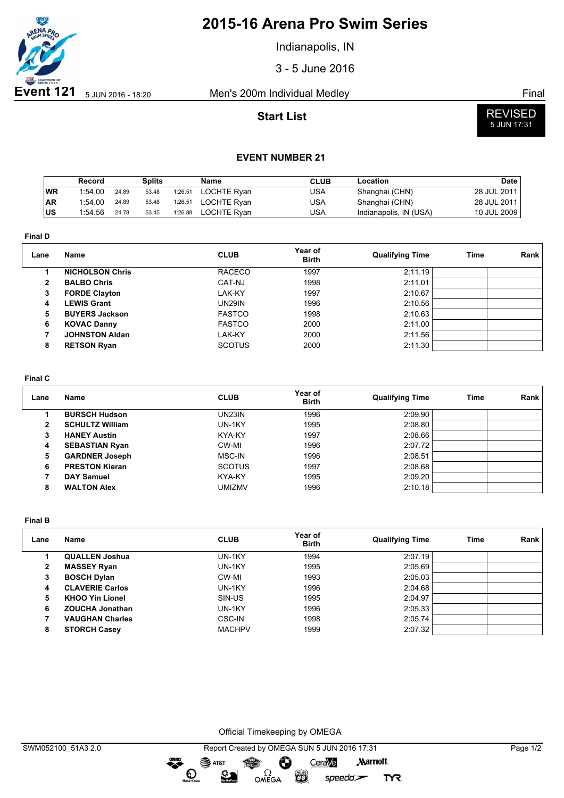

# **2015-16 Arena Pro Swim Series**

Indianapolis, IN

3 - 5 June 2016

## **Start List**



### **EVENT NUMBER 21**

|           | Record  |       | <b>Splits</b> |         | <b>Name</b>        | <b>CLUB</b> | Location               | Date        |
|-----------|---------|-------|---------------|---------|--------------------|-------------|------------------------|-------------|
| WR        | 1:54.00 | 24.89 | 53.48         | 1:26.51 | <b>LOCHTE Ryan</b> | USA         | Shanghai (CHN)         | 28 JUL 2011 |
| <b>AR</b> | 1:54.00 | 24.89 | 53.48         | 1:26.51 | <b>LOCHTE Ryan</b> | USA         | Shanghai (CHN)         | 28 JUL 2011 |
| lus       | 1:54.56 | 24.78 | 53.45         | 1:26.88 | LOCHTE Rvan        | USA         | Indianapolis, IN (USA) | 10 JUL 2009 |

**Final D**

| Lane         | <b>Name</b>            | <b>CLUB</b>   | Year of<br><b>Birth</b> | <b>Qualifying Time</b> | Time | Rank |
|--------------|------------------------|---------------|-------------------------|------------------------|------|------|
|              | <b>NICHOLSON Chris</b> | <b>RACECO</b> | 1997                    | 2:11.19                |      |      |
| $\mathbf{2}$ | <b>BALBO Chris</b>     | CAT-NJ        | 1998                    | 2:11.01                |      |      |
| 3            | <b>FORDE Clayton</b>   | LAK-KY        | 1997                    | 2:10.67                |      |      |
| 4            | <b>LEWIS Grant</b>     | <b>UN29IN</b> | 1996                    | 2:10.56                |      |      |
| 5.           | <b>BUYERS Jackson</b>  | <b>FASTCO</b> | 1998                    | 2:10.63                |      |      |
| 6            | <b>KOVAC Danny</b>     | <b>FASTCO</b> | 2000                    | 2:11.00                |      |      |
|              | <b>JOHNSTON Aldan</b>  | LAK-KY        | 2000                    | 2:11.56                |      |      |
| 8            | <b>RETSON Ryan</b>     | <b>SCOTUS</b> | 2000                    | 2:11.30                |      |      |

#### **Final C**

| Lane         | Name                   | <b>CLUB</b>   | Year of<br><b>Birth</b> | <b>Qualifying Time</b> | Time | Rank |
|--------------|------------------------|---------------|-------------------------|------------------------|------|------|
|              | <b>BURSCH Hudson</b>   | UN23IN        | 1996                    | 2:09.90                |      |      |
| $\mathbf{2}$ | <b>SCHULTZ William</b> | UN-1KY        | 1995                    | 2:08.80                |      |      |
| 3            | <b>HANEY Austin</b>    | KYA-KY        | 1997                    | 2:08.66                |      |      |
| 4            | <b>SEBASTIAN Ryan</b>  | CW-MI         | 1996                    | 2:07.72                |      |      |
| 5            | <b>GARDNER Joseph</b>  | MSC-IN        | 1996                    | 2:08.51                |      |      |
| 6            | <b>PRESTON Kieran</b>  | <b>SCOTUS</b> | 1997                    | 2:08.68                |      |      |
|              | <b>DAY Samuel</b>      | KYA-KY        | 1995                    | 2:09.20                |      |      |
| 8            | <b>WALTON Alex</b>     | UMIZMV        | 1996                    | 2:10.18                |      |      |

**Final B**

| Lane | <b>Name</b>            | <b>CLUB</b>   | Year of<br><b>Birth</b> | <b>Qualifying Time</b> | Time | Rank |
|------|------------------------|---------------|-------------------------|------------------------|------|------|
|      | <b>QUALLEN Joshua</b>  | UN-1KY        | 1994                    | 2:07.19                |      |      |
| 2    | <b>MASSEY Ryan</b>     | UN-1KY        | 1995                    | 2:05.69                |      |      |
| 3    | <b>BOSCH Dylan</b>     | CW-MI         | 1993                    | 2:05.03                |      |      |
| 4    | <b>CLAVERIE Carlos</b> | UN-1KY        | 1996                    | 2:04.68                |      |      |
| 5    | <b>KHOO Yin Lionel</b> | SIN-US        | 1995                    | 2:04.97                |      |      |
| 6    | <b>ZOUCHA Jonathan</b> | UN-1KY        | 1996                    | 2:05.33                |      |      |
|      | <b>VAUGHAN Charles</b> | <b>CSC-IN</b> | 1998                    | 2:05.74                |      |      |
| 8    | <b>STORCH Casey</b>    | <b>MACHPV</b> | 1999                    | 2:07.32                |      |      |

Official Timekeeping by OMEGA

OMEGA

greng:

 $\mathbf{O}$ 

 $\mathfrak{D}$ 

 $\overline{G}$ 

 $speedo$ 

**TYR**